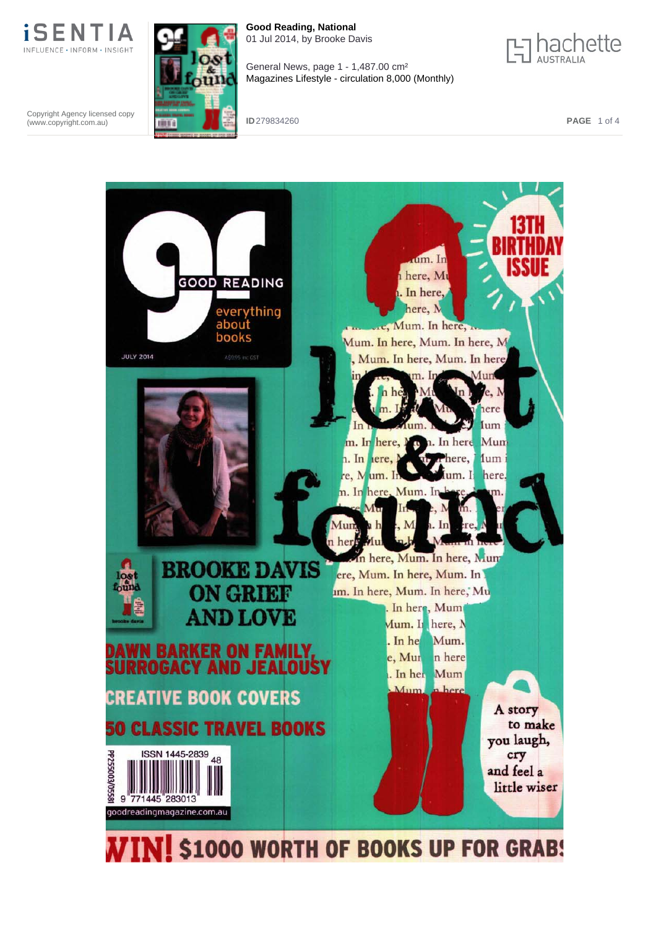

Copyright Agency licensed copy (www.copyright.com.au)



**Good Reading, National** 01 Jul 2014, by Brooke Davis



General News, page 1 - 1,487.00 cm² Magazines Lifestyle - circulation 8,000 (Monthly)

**ID** 279834260 **PAGE** 1 of 4

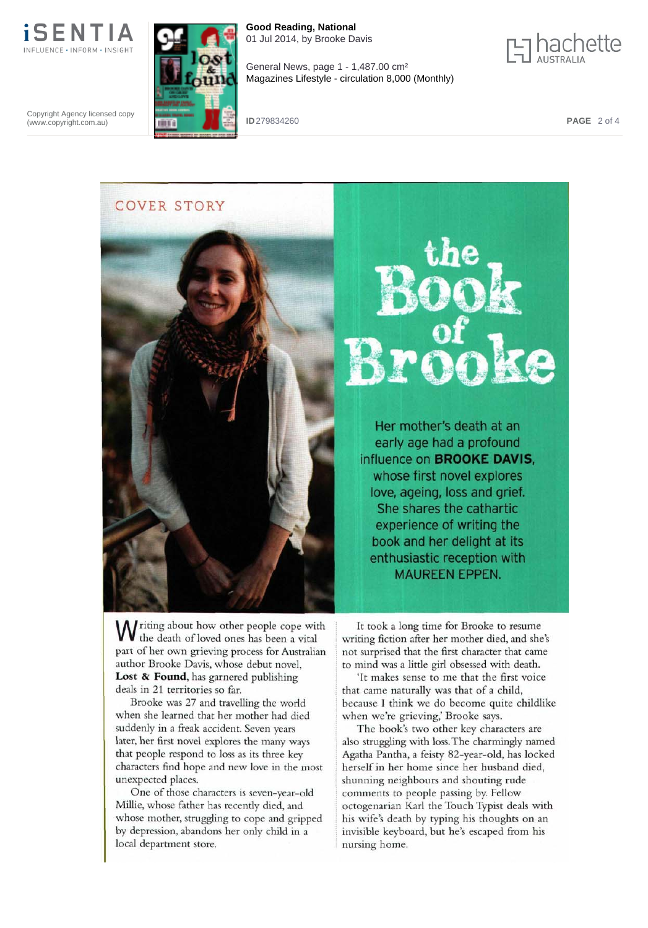

**Good Reading, National** 01 Jul 2014, by Brooke Davis



General News, page 1 - 1,487.00 cm² Magazines Lifestyle - circulation 8,000 (Monthly)

Copyright Agency licensed copy (www.copyright.com.au)

**ID** 279834260 **PAGE** 2 of 4

COVER STORY



Her mother's death at an early age had a profound influence on **BROOKE DAVIS,** whose first novel explores love, ageing, loss and grief. She shares the cathartic experience of writing the book and her delight at its enthusiastic reception with MAUREEN EPPEN.

W riting about how other people cope with the death of loved ones has been a vital part of her own grieving process for Australian author Brooke Davis, whose debut novel, **Lost & Found,** has garnered publishing deals in 21 territories so far.

Brooke was 27 and travelling the world when she learned that her mother had died suddenly in a freak accident. Seven years later, her first novel explores the many ways that people respond to loss as its three key characters find hope and new love in the most unexpected places.

One of those characters is seven-year-old Millie, whose father has recently died, and whose mother, struggling to cope and gripped by depression, abandons her only child in a local department store.

It took a long time for Brooke to resume writing fiction after her mother died, and she's not surprised that the first character that came to mind was a little girl obsessed with death.

'It makes sense to me that the first voice that came naturally was that of a child, because I think we do become quite childlike when we're grieving,' Brooke says.

The book's two other key characters are also struggling with loss. The charmingly named Agatha Pantha, a feisty 82-year-old, has locked herself in her home since her husband died, shunning neighbours and shouting rude comments to people passing by. Fellow octogenarian Karl the Touch Typist deals with his wife's death by typing his thoughts on an invisible keyboard, but he's escaped from his nursing home.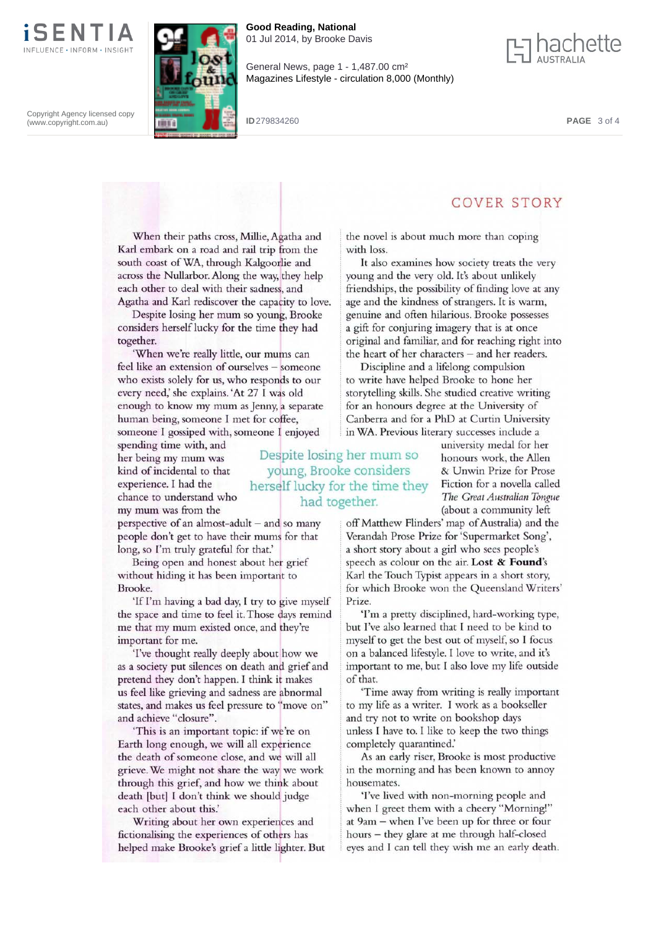

**Good Reading, National** 01 Jul 2014, by Brooke Davis



Copyright Agency licensed copy (www.copyright.com.au)

General News, page 1 - 1,487.00 cm² Magazines Lifestyle - circulation 8,000 (Monthly)

**ID** 279834260 **PAGE** 3 of 4

When their paths cross, Millie, Agatha and Karl embark on a road and rail trip from the south coast of WA, through Kalgoorlie and across the Nullarbor. Along the way, they help each other to deal with their sadness, and Agatha and Karl rediscover the capacity to love.

Despite losing her mum so young, Brooke considers herself lucky for the time they had together.

'When we're really little, our mums can feel like an extension of ourselves — someone who exists solely for us, who responds to our every need,' she explains. 'At 27 I was old enough to know my mum as Jenny, a separate human being, someone I met for coffee, someone I gossiped with, someone I enjoyed

spending time with, and her being my mum was kind of incidental to that experience. I had the chance to understand who my mum was from the

perspective of an almost-adult — and so many people don't get to have their mums for that long, so I'm truly grateful for that.'

Being open and honest about her grief without hiding it has been important to Brooke.

'If I'm having a bad day, I try to give myself the space and time to feel it. Those days remind me that my mum existed once, and they're important for me.

'I've thought really deeply about how we as a society put silences on death and grief and pretend they don't happen. I think it makes us feel like grieving and sadness are abnormal states, and makes us feel pressure to "move on" and achieve "closure".

'This is an important topic: if we're on Earth long enough, we will all experience the death of someone close, and we will all grieve. We might not share the way we work through this grief, and how we think about death [but] I don't think we should judge each other about this.'

Writing about her own experiences and fictionalising the experiences of others has helped make Brooke's grief a little lighter. But the novel is about much more than coping with loss.

It also examines how society treats the very young and the very old. It's about unlikely friendships, the possibility of finding love at any age and the kindness of strangers. It is warm, genuine and often hilarious. Brooke possesses a gift for conjuring imagery that is at once original and familiar, and for reaching right into the heart of her characters — and her readers.

Discipline and a lifelong compulsion to write have helped Brooke to hone her storytelling skills. She studied creative writing for an honours degree at the University of Canberra and for a PhD at Curtin University in WA. Previous literary successes include a

university medal for her honours work, the Allen & Unwin Prize for Prose Fiction for a novella called *The Great Australian Tongue* (about a community left

COVER STORY

off Matthew Flinders' map of Australia) and the Verandah Prose Prize for'Supermarket Song', a short story about a girl who sees people's speech as colour on the air. Lost & Found's Karl the Touch Typist appears in a short story, for which Brooke won the Queensland Writers' Prize.

'I'm a pretty disciplined, hard-working type, but I've also learned that I need to be kind to myself to get the best out of myself, so I focus on a balanced lifestyle. I love to write, and it's important to me, but I also love my life outside of that.

'Time away from writing is really important to my life as a writer. I work as a bookseller and try not to write on bookshop days unless I have to. I like to keep the two things completely quarantined.'

As an early riser, Brooke is most productive in the morning and has been known to annoy housemates.

'I've lived with non-morning people and when I greet them with a cheery "Morning!" at 9am — when I've been up for three or four hours — they glare at me through half-closed eyes and I can tell they wish me an early death.

Despite losing her mum so young, Brooke considers herself lucky for the time they had together.